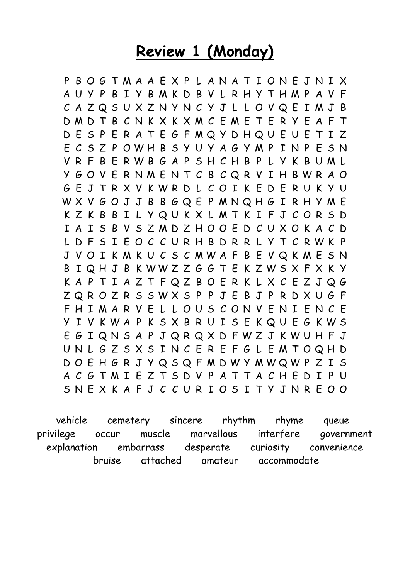### **Review 1 (Monday)**

P B O G T M A A E X P L A N A T I O N E J N I X A U Y P B I Y B M K D B V L R H Y T H M P A V F C A Z Q S U X Z N Y N C Y J L L O V Q E I M J B D M D T B C N K X K X M C E M E T E R Y E A F T D E S P E R A T E G F M Q Y D H Q U E U E T I Z E C S Z P O W H B S Y U Y A G Y M P I N P E S N V R F B E R W B G A P S H C H B P L Y K B U M L Y G O V E R N M E N T C B C Q R V I H B W R A O G E J T R X V K W R D L C O I K E D E R U K Y U W X V G O J J B B G Q E P M N Q H G I R H Y M E K Z K B B I L Y Q U K X L M T K I F J C O R S D I A I S B V S Z M D Z H O O E D C U X O K A C D L D F S I E O C C U R H B D R R L Y T C R W K P J V O I K M K U C S C M W A F B E V Q K M E S N B I Q H J B K W W Z Z G G T E K Z W S X F X K Y K A P T I A Z T F Q Z B O E R K L X C E Z J Q G Z Q R O Z R S S W X S P P J E B J P R D X U G F F H I M A R V E L L O U S C O N V E N I E N C E Y I V K W A P K S X B R U I S E K Q U E G K W S E G I Q N S A P J Q R Q X D F W Z J K W U H F J U N L G Z S X S I N C E R E F G L E M T O Q H D D O E H G R J Y Q S Q F M D W Y M W Q W P Z I S A C G T M I E Z T S D V P A T T A C H E D I P U S N E X K A F J C C U R I O S I T Y J N R E O O

 vehicle cemetery sincere rhythm rhyme queue privilege occur muscle marvellous interfere government explanation embarrass desperate curiosity convenience bruise attached amateur accommodate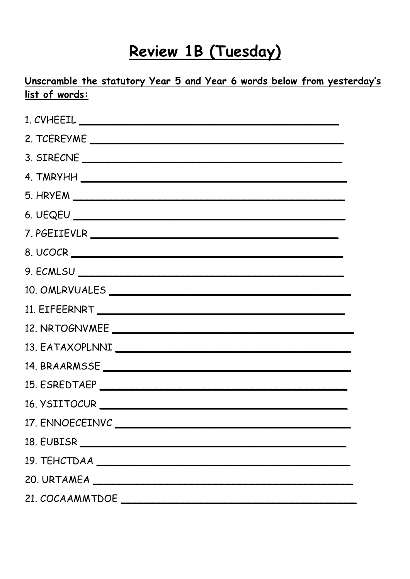## Review 1B (Tuesday)

#### Unscramble the statutory Year 5 and Year 6 words below from yesterday's list of words:

| 3. SIRECNE      |
|-----------------|
|                 |
|                 |
|                 |
|                 |
|                 |
|                 |
| 10. OMLRVUALES  |
|                 |
|                 |
|                 |
|                 |
|                 |
|                 |
|                 |
|                 |
|                 |
|                 |
| 21. COCAAMMTDOE |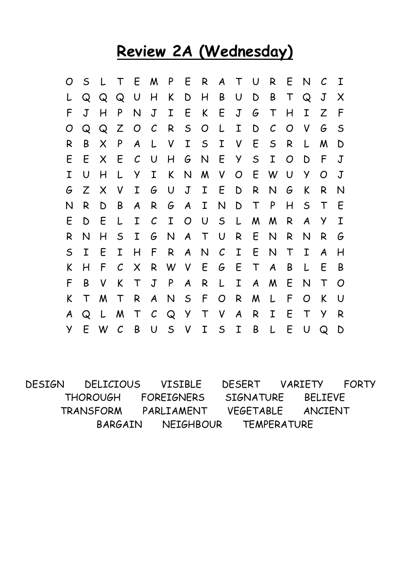### **Review 2A (Wednesday)**

| O | $\mathsf{S}$ | L | $\mathsf T$   |                           |               | E M P E R A T U |                  |                |               |                  |                  | R                | E           | N            | $\mathcal C$ | $\mathbf I$ |
|---|--------------|---|---------------|---------------------------|---------------|-----------------|------------------|----------------|---------------|------------------|------------------|------------------|-------------|--------------|--------------|-------------|
|   | Q            | Q | Q             | $\bigcup$                 | H             | K               | D                | H              | B             | U                | D                | B                | $\top$      | Q            | $\mathsf J$  | X           |
| F | $\sf J$      | H | P             | N                         | $\mathsf J$   | $\mathbf I$     | E                | K              | E             | $\mathsf J$      | G                | $\mathsf T$      | H           | I            | Z            | F           |
| O | Q            | Q | Z             | O                         | $\mathcal C$  | R               | $\mathsf{S}$     | $\overline{O}$ | L             | I                | D                | $\mathcal C$     | O           | V            | G            | $\mathsf S$ |
| R | B            | X | P             | A                         | L             | V               | I                | $\mathsf{S}$   | I             | V                | E                | $\mathsf{S}$     | R           | L            | M            | D           |
| E | E            | X | E             | $\mathcal{C}$             | $\cup$        | H               | G                | $\mathsf{N}$   | E             | $\mathsf{y}$     | $\mathsf S$      | I                | O           | D            | F            | $\mathsf J$ |
| I | U            | H | L             | Y                         | I             | K               | N                | M              | $\mathsf{V}$  | $\overline{O}$   | E                | W                | U           | y            | $\Omega$     | $\mathbf J$ |
| G | Z            | X | V             | I                         | G             | U               | J                | $\mathbf I$    | E             | D                | R                | N                | G           | K            | R            | N           |
| N | R            | D | Β             | A                         | R             | G               | $\boldsymbol{A}$ | I              | $\mathsf{N}$  | D                | $\top$           | P                | H           | $\mathsf{S}$ | $\mathsf T$  | E           |
| E | D            | E | L             | I                         | $\mathcal{C}$ | I               | O                | $\cup$         | $\mathsf{S}$  | L                | M                | M                | R           | A            | у            | $\mathbf I$ |
| R | N            | H | $\mathsf S$   | I                         | G             | N               | $\boldsymbol{A}$ | $\top$         | $\cup$        | R                | E                | N                | R           | N            | R            | G           |
| S | I            | E | I             | H                         | F             | R               | $\boldsymbol{A}$ | N              | $\mathcal{C}$ | $\mathbf I$      | E                | N                | $\mathsf T$ | I            | A            | H           |
| K | H            | F | ${\cal C}$    | $\boldsymbol{\mathsf{X}}$ | R             | W               | $\mathsf{V}$     | E              | G             | E                | $\mathsf T$      | $\boldsymbol{A}$ | B           | L            | E            | B           |
| F | B            | V | K             | $\mathsf T$               | $\mathsf J$   | P               | $\boldsymbol{A}$ | R              | L             | Ι                | $\boldsymbol{A}$ | M                | E           | N            | Τ            | O           |
| K | $\mathsf T$  | M | $\mathsf T$   | R                         | A             | N               | $\mathsf{S}$     | F              | O             | R                | M                | L                | F           | O            | K            | U           |
| A | Q            | L | M             | $\mathsf T$               | $\mathcal C$  | Q               | $\mathsf{Y}$     | $\mathsf T$    | $\mathsf{V}$  | $\boldsymbol{A}$ | R                | I                | E           | $\top$       | У            | R           |
| Y | E            | W | $\mathcal{C}$ | B                         | $\cup$        | $\mathsf{S}$    | $\mathsf{V}$     | $\mathbf I$    | $\mathsf{S}$  | $\mathbf{I}$     | B                | L                | E           | U            | Q            | $\mathsf D$ |

DESIGN DELICIOUS VISIBLE DESERT VARIETY FORTY THOROUGH FOREIGNERS SIGNATURE BELIEVE TRANSFORM PARLIAMENT VEGETABLE ANCIENT BARGAIN NEIGHBOUR TEMPERATURE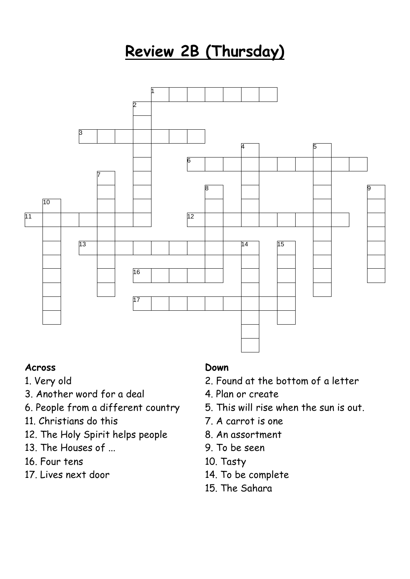# **Review 2B (Thursday)**



#### **Across**

- 1. Very old
- 3. Another word for a deal
- 6. People from a different country
- 11. Christians do this
- 12. The Holy Spirit helps people
- 13. The Houses of ...
- 16. Four tens
- 17. Lives next door

#### **Down**

- 2. Found at the bottom of a letter
- 4. Plan or create
- 5. This will rise when the sun is out.
- 7. A carrot is one
- 8. An assortment
- 9. To be seen
- 10. Tasty
- 14. To be complete
- 15. The Sahara